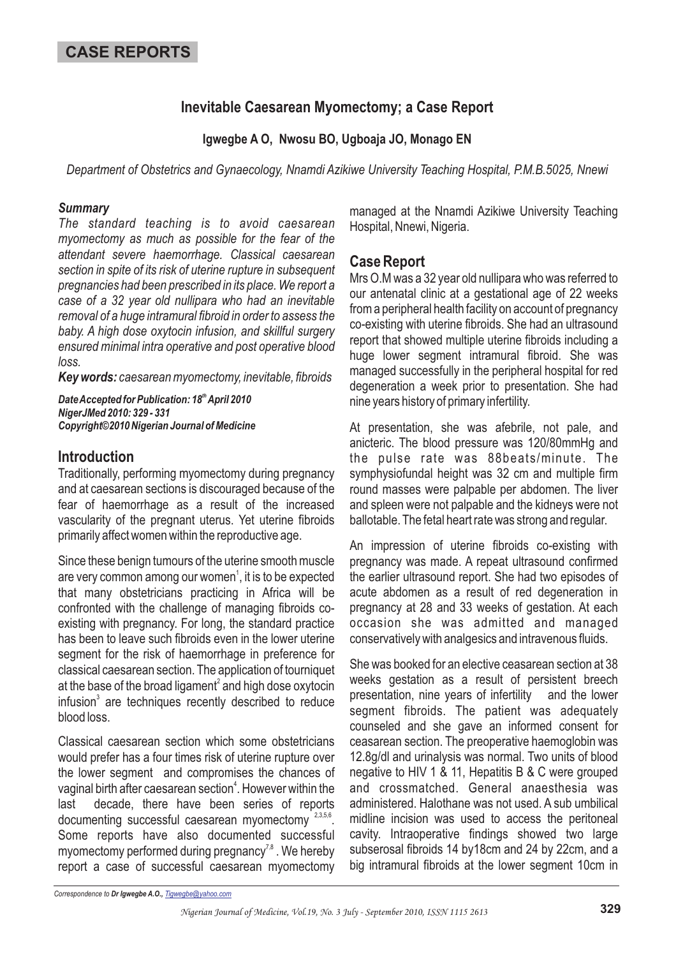# **Inevitable Caesarean Myomectomy; a Case Report**

**Igwegbe A O, Nwosu BO, Ugboaja JO, Monago EN**

*Department of Obstetrics and Gynaecology, Nnamdi Azikiwe University Teaching Hospital, P.M.B.5025, Nnewi*

#### *Summary*

*The standard teaching is to avoid caesarean myomectomy as much as possible for the fear of the attendant severe haemorrhage. Classical caesarean section in spite of its risk of uterine rupture in subsequent pregnancies had been prescribed in its place. We report a case of a 32 year old nullipara who had an inevitable removal of a huge intramural fibroid in order to assess the baby. A high dose oxytocin infusion, and skillful surgery ensured minimal intra operative and post operative blood loss.*

*Key words: caesarean myomectomy, inevitable, fibroids*

*DateAccepted for Publication: 18 April 2010 th NigerJMed 2010: 329 - 331 Copyright©2010 Nigerian Journal of Medicine*

## **Introduction**

Traditionally, performing myomectomy during pregnancy and at caesarean sections is discouraged because of the fear of haemorrhage as a result of the increased vascularity of the pregnant uterus. Yet uterine fibroids primarily affect women within the reproductive age.

Since these benign tumours of the uterine smooth muscle are very common among our women $^{\text{\tiny{1}}}$ , it is to be expected that many obstetricians practicing in Africa will be confronted with the challenge of managing fibroids coexisting with pregnancy. For long, the standard practice has been to leave such fibroids even in the lower uterine segment for the risk of haemorrhage in preference for classical caesarean section. The application of tourniquet at the base of the broad ligament $^{\scriptscriptstyle 2}$  and high dose oxytocin infusion $3$  are techniques recently described to reduce blood loss.

Classical caesarean section which some obstetricians would prefer has a four times risk of uterine rupture over the lower segment and compromises the chances of vaginal birth after caesarean section $\pmb{\text{4}}$ . However within the last decade, there have been series of reports documenting successful caesarean myomectomy 2,3,5,6. Some reports have also documented successful myomectomy performed during pregnancy $^{7,8}$  . We hereby report a case of successful caesarean myomectomy

managed at the Nnamdi Azikiwe University Teaching Hospital, Nnewi, Nigeria.

## **Case Report**

Mrs O.M was a 32 year old nullipara who was referred to our antenatal clinic at a gestational age of 22 weeks from a peripheral health facility on account of pregnancy co-existing with uterine fibroids. She had an ultrasound report that showed multiple uterine fibroids including a huge lower segment intramural fibroid. She was managed successfully in the peripheral hospital for red degeneration a week prior to presentation. She had nine years history of primary infertility.

At presentation, she was afebrile, not pale, and anicteric. The blood pressure was 120/80mmHg and the pulse rate was 88beats/minute. The symphysiofundal height was 32 cm and multiple firm round masses were palpable per abdomen. The liver and spleen were not palpable and the kidneys were not ballotable. The fetal heart rate was strong and regular.

An impression of uterine fibroids co-existing with pregnancy was made. A repeat ultrasound confirmed the earlier ultrasound report. She had two episodes of acute abdomen as a result of red degeneration in pregnancy at 28 and 33 weeks of gestation. At each occasion she was admitted and managed conservatively with analgesics and intravenous fluids.

She was booked for an elective ceasarean section at 38 weeks gestation as a result of persistent breech presentation, nine years of infertility and the lower segment fibroids. The patient was adequately counseled and she gave an informed consent for ceasarean section. The preoperative haemoglobin was 12.8g/dl and urinalysis was normal. Two units of blood negative to HIV 1 & 11, Hepatitis B & C were grouped and crossmatched. General anaesthesia was administered. Halothane was not used. A sub umbilical midline incision was used to access the peritoneal cavity. Intraoperative findings showed two large subserosal fibroids 14 by18cm and 24 by 22cm, and a big intramural fibroids at the lower segment 10cm in

*Correspondence to Dr Igwegbe A.O., Tigwegbe@yahoo.com*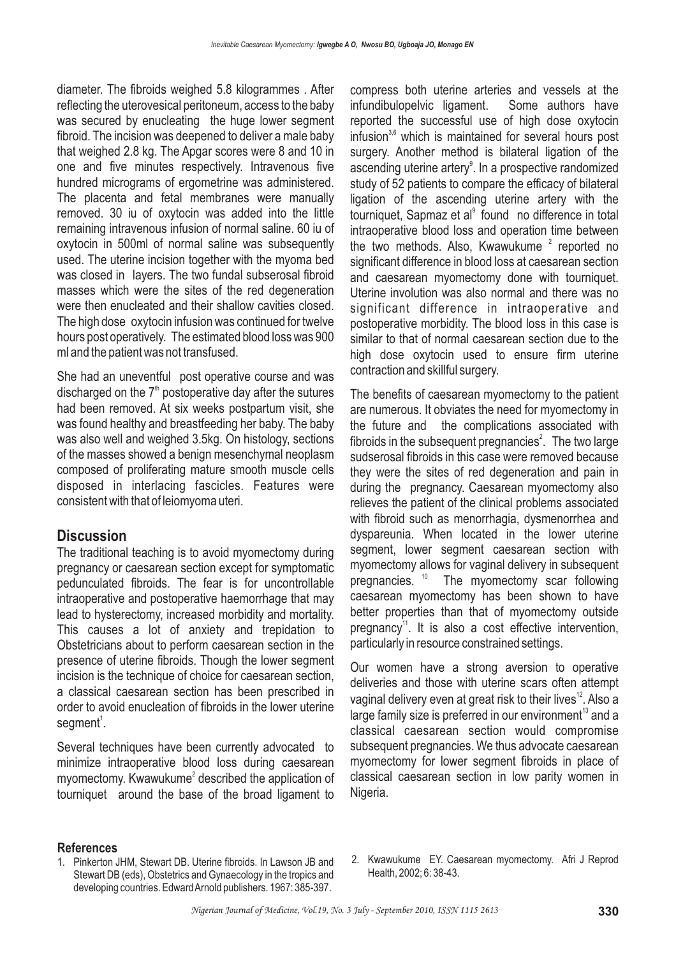diameter. The fibroids weighed 5.8 kilogrammes . After reflecting the uterovesical peritoneum, access to the baby was secured by enucleating the huge lower segment fibroid. The incision was deepened to deliver a male baby that weighed 2.8 kg. The Apgar scores were 8 and 10 in one and five minutes respectively. Intravenous five hundred micrograms of ergometrine was administered. The placenta and fetal membranes were manually removed. 30 iu of oxytocin was added into the little remaining intravenous infusion of normal saline. 60 iu of oxytocin in 500ml of normal saline was subsequently used. The uterine incision together with the myoma bed was closed in layers. The two fundal subserosal fibroid masses which were the sites of the red degeneration were then enucleated and their shallow cavities closed. The high dose oxytocin infusion was continued for twelve hours post operatively. The estimated blood loss was 900 ml and the patient was not transfused.

She had an uneventful post operative course and was discharged on the  $7<sup>th</sup>$  postoperative day after the sutures had been removed. At six weeks postpartum visit, she was found healthy and breastfeeding her baby. The baby was also well and weighed 3.5kg. On histology, sections of the masses showed a benign mesenchymal neoplasm composed of proliferating mature smooth muscle cells disposed in interlacing fascicles. Features were consistent with that of leiomyoma uteri.

### **Discussion**

The traditional teaching is to avoid myomectomy during pregnancy or caesarean section except for symptomatic pedunculated fibroids. The fear is for uncontrollable intraoperative and postoperative haemorrhage that may lead to hysterectomy, increased morbidity and mortality. This causes a lot of anxiety and trepidation to Obstetricians about to perform caesarean section in the presence of uterine fibroids. Though the lower segment incision is the technique of choice for caesarean section, a classical caesarean section has been prescribed in order to avoid enucleation of fibroids in the lower uterine  $segment<sup>1</sup>$ .

Several techniques have been currently advocated to minimize intraoperative blood loss during caesarean myomectomy. Kwawukume<sup>2</sup> described the application of tourniquet around the base of the broad ligament to compress both uterine arteries and vessels at the infundibulopelvic ligament. Some authors have reported the successful use of high dose oxytocin infusion<sup>3,6</sup> which is maintained for several hours post surgery. Another method is bilateral ligation of the ascending uterine artery $^{\circ}$ . In a prospective randomized study of 52 patients to compare the efficacy of bilateral ligation of the ascending uterine artery with the tourniquet, Sapmaz et al<sup>9</sup> found no difference in total intraoperative blood loss and operation time between the two methods. Also, Kwawukume<sup>2</sup> reported no significant difference in blood loss at caesarean section and caesarean myomectomy done with tourniquet. Uterine involution was also normal and there was no significant difference in intraoperative and postoperative morbidity. The blood loss in this case is similar to that of normal caesarean section due to the high dose oxytocin used to ensure firm uterine contraction and skillful surgery.

The benefits of caesarean myomectomy to the patient are numerous. It obviates the need for myomectomy in the future and the complications associated with fibroids in the subsequent pregnancies $^2$ . The two large sudserosal fibroids in this case were removed because they were the sites of red degeneration and pain in during the pregnancy. Caesarean myomectomy also relieves the patient of the clinical problems associated with fibroid such as menorrhagia, dysmenorrhea and dyspareunia. When located in the lower uterine segment, lower segment caesarean section with myomectomy allows for vaginal delivery in subsequent pregnancies. <sup>10</sup> The myomectomy scar following caesarean myomectomy has been shown to have better properties than that of myomectomy outside pregnancy<sup>11</sup>. It is also a cost effective intervention, particularly in resource constrained settings.

Our women have a strong aversion to operative deliveries and those with uterine scars often attempt vaginal delivery even at great risk to their lives $^{\text{12}}$ . Also a large family size is preferred in our environment $^{\rm 13}$  and a classical caesarean section would compromise subsequent pregnancies. We thus advocate caesarean myomectomy for lower segment fibroids in place of classical caesarean section in low parity women in Nigeria.

#### **References**

- 1. Pinkerton JHM, Stewart DB. Uterine fibroids. In Lawson JB and Stewart DB (eds), Obstetrics and Gynaecology in the tropics and developing countries. EdwardArnold publishers. 1967: 385-397.
- 2. Kwawukume EY. Caesarean myomectomy. Afri J Reprod Health, 2002; 6: 38-43.